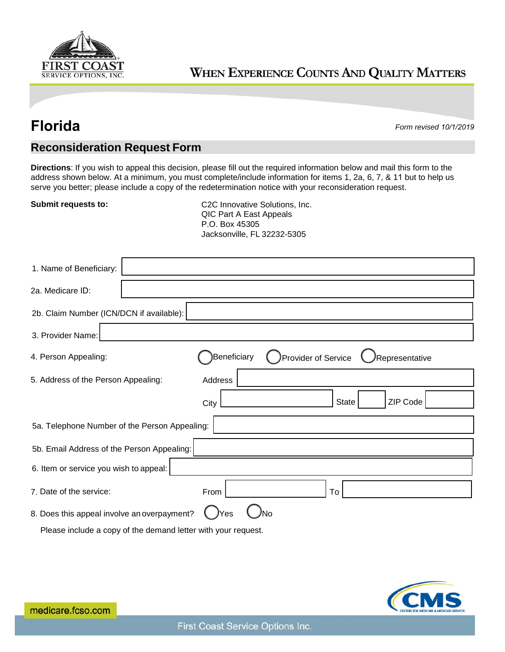

## WHEN EXPERIENCE COUNTS AND QUALITY MATTERS

**Florida** *Form revised 10/1/2019*

## **Reconsideration Request Form**

**Directions**: If you wish to appeal this decision, please fill out the required information below and mail this form to the address shown below. At a minimum, you must complete/include information for items 1, 2a, 6, 7, & 11 but to help us serve you better; please include a copy of the redetermination notice with your reconsideration request.

**Submit requests to:** C2C Innovative Solutions, Inc. QIC Part A East Appeals P.O. Box 45305 Jacksonville, FL 32232-5305

| 1. Name of Beneficiary:                                         |                                                      |  |  |  |
|-----------------------------------------------------------------|------------------------------------------------------|--|--|--|
| 2a. Medicare ID:                                                |                                                      |  |  |  |
| 2b. Claim Number (ICN/DCN if available):                        |                                                      |  |  |  |
| 3. Provider Name:                                               |                                                      |  |  |  |
| 4. Person Appealing:                                            | Beneficiary<br>Provider of Service<br>Representative |  |  |  |
| 5. Address of the Person Appealing:                             | Address                                              |  |  |  |
|                                                                 | ZIP Code<br>State<br>City                            |  |  |  |
| 5a. Telephone Number of the Person Appealing:                   |                                                      |  |  |  |
| 5b. Email Address of the Person Appealing:                      |                                                      |  |  |  |
| 6. Item or service you wish to appeal:                          |                                                      |  |  |  |
| 7. Date of the service:                                         | To<br>From                                           |  |  |  |
| 8. Does this appeal involve an overpayment?<br><b>Yes</b><br>N٥ |                                                      |  |  |  |
| Please include a copy of the demand letter with your request.   |                                                      |  |  |  |